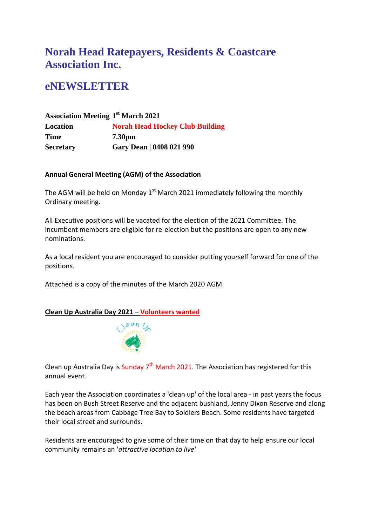# **Norah Head Ratepayers, Residents & Coastcare Association Inc.**

# **eNEWSLETTER**

### **Association Meeting 1 st March 2021 Location Norah Head Hockey Club Building Time 7.30pm Secretary Gary Dean | 0408 021 990**

#### **Annual General Meeting (AGM) of the Association**

The AGM will be held on Monday  $1<sup>st</sup>$  March 2021 immediately following the monthly Ordinary meeting.

All Executive positions will be vacated for the election of the 2021 Committee. The incumbent members are eligible for re-election but the positions are open to any new nominations.

As a local resident you are encouraged to consider putting yourself forward for one of the positions.

Attached is a copy of the minutes of the March 2020 AGM.

### **Clean Up Australia Day 2021 – Volunteers wanted**



Clean up Australia Day is Sunday  $7<sup>th</sup>$  March 2021. The Association has registered for this annual event.

Each year the Association coordinates a 'clean up' of the local area - in past years the focus has been on Bush Street Reserve and the adjacent bushland, Jenny Dixon Reserve and along the beach areas from Cabbage Tree Bay to Soldiers Beach. Some residents have targeted their local street and surrounds.

Residents are encouraged to give some of their time on that day to help ensure our local community remains an '*attractive location to live'*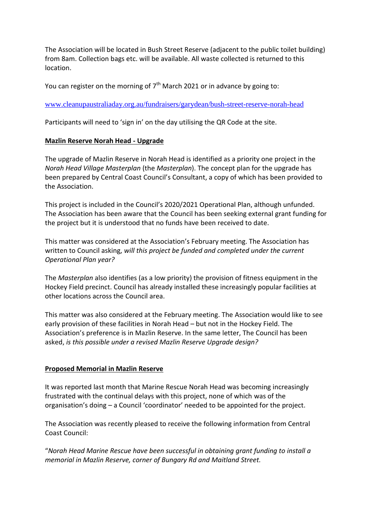The Association will be located in Bush Street Reserve (adjacent to the public toilet building) from 8am. Collection bags etc. will be available. All waste collected is returned to this location.

You can register on the morning of  $7<sup>th</sup>$  March 2021 or in advance by going to:

[www.cleanupaustraliaday.org.au/fundraisers/garydean/bush-street-reserve-norah-head](http://www.cleanupaustraliaday.org.au/fundraisers/garydean/bush-street-reserve-norah-head)

Participants will need to 'sign in' on the day utilising the QR Code at the site.

#### **Mazlin Reserve Norah Head - Upgrade**

The upgrade of Mazlin Reserve in Norah Head is identified as a priority one project in the *Norah Head Village Masterplan* (the *Masterplan*). The concept plan for the upgrade has been prepared by Central Coast Council's Consultant, a copy of which has been provided to the Association.

This project is included in the Council's 2020/2021 Operational Plan, although unfunded. The Association has been aware that the Council has been seeking external grant funding for the project but it is understood that no funds have been received to date.

This matter was considered at the Association's February meeting. The Association has written to Council asking, *will this project be funded and completed under the current Operational Plan year?*

The *Masterplan* also identifies (as a low priority) the provision of fitness equipment in the Hockey Field precinct. Council has already installed these increasingly popular facilities at other locations across the Council area.

This matter was also considered at the February meeting. The Association would like to see early provision of these facilities in Norah Head – but not in the Hockey Field. The Association's preference is in Mazlin Reserve. In the same letter, The Council has been asked, *is this possible under a revised Mazlin Reserve Upgrade design?*

#### **Proposed Memorial in Mazlin Reserve**

It was reported last month that Marine Rescue Norah Head was becoming increasingly frustrated with the continual delays with this project, none of which was of the organisation's doing – a Council 'coordinator' needed to be appointed for the project.

The Association was recently pleased to receive the following information from Central Coast Council:

"*Norah Head Marine Rescue have been successful in obtaining grant funding to install a memorial in Mazlin Reserve, corner of Bungary Rd and Maitland Street.*